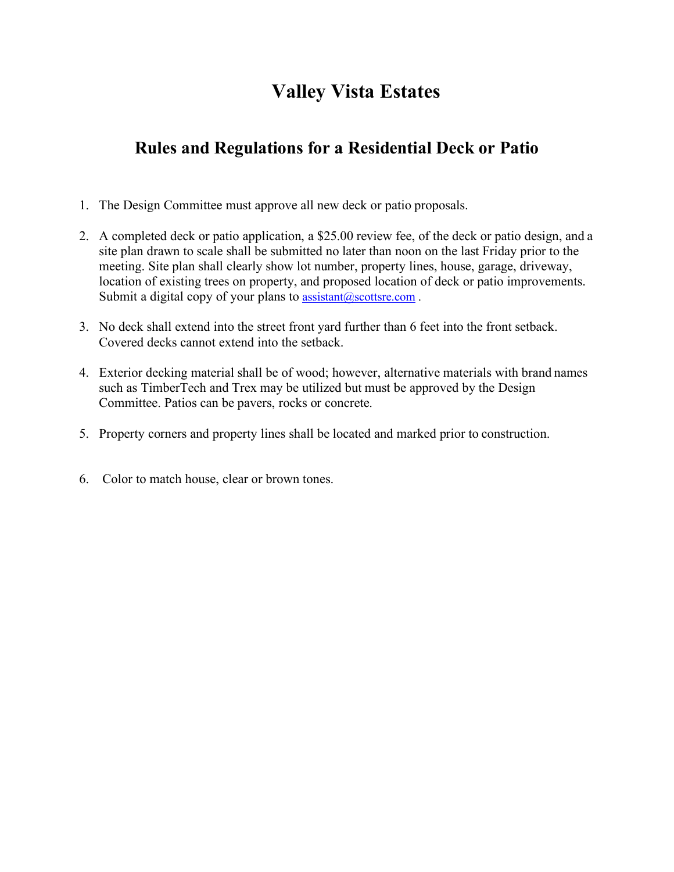## **Valley Vista Estates**

## **Rules and Regulations for a Residential Deck or Patio**

- 1. The Design Committee must approve all new deck or patio proposals.
- 2. A completed deck or patio application, a \$25.00 review fee, of the deck or patio design, and a site plan drawn to scale shall be submitted no later than noon on the last Friday prior to the meeting. Site plan shall clearly show lot number, property lines, house, garage, driveway, location of existing trees on property, and proposed location of deck or patio improvements. Submit a digital copy of your plans to  $\text{assignment}(a)$  scottsre.com.
- 3. No deck shall extend into the street front yard further than 6 feet into the front setback. Covered decks cannot extend into the setback.
- 4. Exterior decking material shall be of wood; however, alternative materials with brand names such as TimberTech and Trex may be utilized but must be approved by the Design Committee. Patios can be pavers, rocks or concrete.
- 5. Property corners and property lines shall be located and marked prior to construction.
- 6. Color to match house, clear or brown tones.